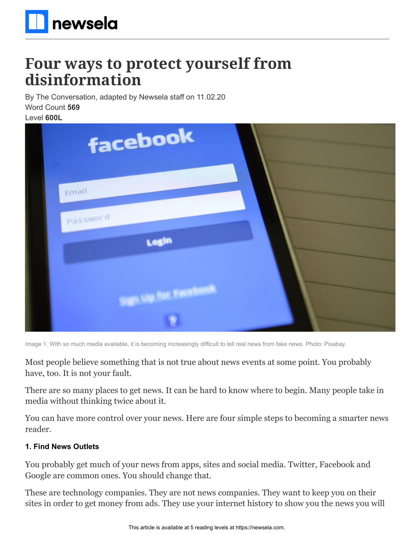

# **Four ways to protect yourself from disinformation**

By The Conversation, adapted by Newsela staff on 11.02.20 Word Count **569**

Level **600L**

| facebook                 |  |
|--------------------------|--|
| Email                    |  |
| Password<br><b>Login</b> |  |
| ugn up for Facebook.     |  |
|                          |  |

Image 1. With so much media available, it is becoming increasingly difficult to tell real news from fake news. Photo: Pixabay.

Most people believe something that is not true about news events at some point. You probably have, too. It is not your fault.

There are so many places to get news. It can be hard to know where to begin. Many people take in media without thinking twice about it.

You can have more control over your news. Here are four simple steps to becoming a smarter news reader.

#### **1. Find News Outlets**

You probably get much of your news from apps, sites and social media. Twitter, Facebook and Google are common ones. You should change that.

These are technology companies. They are not news companies. They want to keep you on their sites in order to get money from ads. They use your internet history to show you the news you will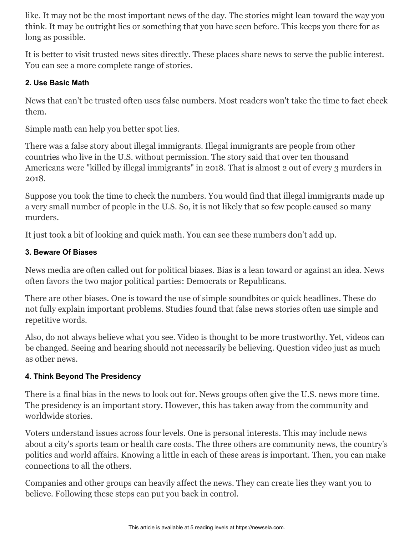like. It may not be the most important news of the day. The stories might lean toward the way you think. It may be outright lies or something that you have seen before. This keeps you there for as long as possible.

It is better to visit trusted news sites directly. These places share news to serve the public interest. You can see a more complete range of stories.

### **2. Use Basic Math**

News that can't be trusted often uses false numbers. Most readers won't take the time to fact check them.

Simple math can help you better spot lies.

There was a false story about illegal immigrants. Illegal immigrants are people from other countries who live in the U.S. without permission. The story said that over ten thousand Americans were "killed by illegal immigrants" in 2018. That is almost 2 out of every 3 murders in 2018.

Suppose you took the time to check the numbers. You would find that illegal immigrants made up a very small number of people in the U.S. So, it is not likely that so few people caused so many murders.

It just took a bit of looking and quick math. You can see these numbers don't add up.

### **3. Beware Of Biases**

News media are often called out for political biases. Bias is a lean toward or against an idea. News often favors the two major political parties: Democrats or Republicans.

There are other biases. One is toward the use of simple soundbites or quick headlines. These do not fully explain important problems. Studies found that false news stories often use simple and repetitive words.

Also, do not always believe what you see. Video is thought to be more trustworthy. Yet, videos can be changed. Seeing and hearing should not necessarily be believing. Question video just as much as other news.

## **4. Think Beyond The Presidency**

There is a final bias in the news to look out for. News groups often give the U.S. news more time. The presidency is an important story. However, this has taken away from the community and worldwide stories.

Voters understand issues across four levels. One is personal interests. This may include news about a city's sports team or health care costs. The three others are community news, the country's politics and world affairs. Knowing a little in each of these areas is important. Then, you can make connections to all the others.

Companies and other groups can heavily affect the news. They can create lies they want you to believe. Following these steps can put you back in control.